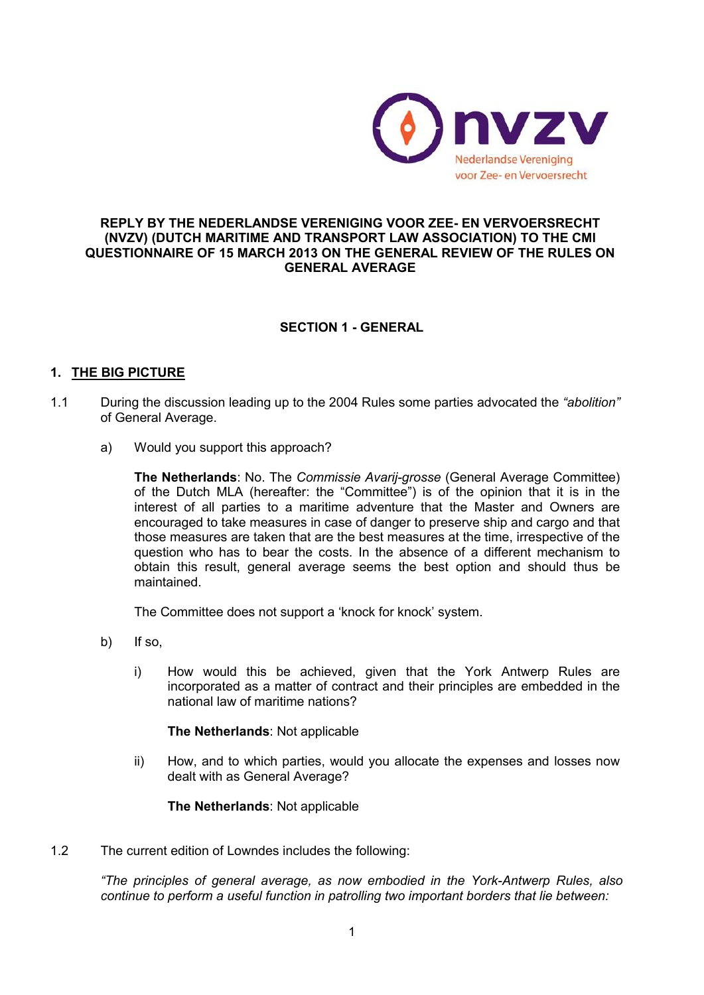

### **REPLY BY THE NEDERLANDSE VERENIGING VOOR ZEE- EN VERVOERSRECHT (NVZV) (DUTCH MARITIME AND TRANSPORT LAW ASSOCIATION) TO THE CMI QUESTIONNAIRE OF 15 MARCH 2013 ON THE GENERAL REVIEW OF THE RULES ON GENERAL AVERAGE**

# **SECTION 1 - GENERAL**

# **1. THE BIG PICTURE**

- 1.1 During the discussion leading up to the 2004 Rules some parties advocated the *"abolition"*  of General Average.
	- a) Would you support this approach?

**The Netherlands**: No. The *Commissie Avarij-grosse* (General Average Committee) of the Dutch MLA (hereafter: the "Committee") is of the opinion that it is in the interest of all parties to a maritime adventure that the Master and Owners are encouraged to take measures in case of danger to preserve ship and cargo and that those measures are taken that are the best measures at the time, irrespective of the question who has to bear the costs. In the absence of a different mechanism to obtain this result, general average seems the best option and should thus be maintained.

The Committee does not support a 'knock for knock' system.

- b) If so,
	- i) How would this be achieved, given that the York Antwerp Rules are incorporated as a matter of contract and their principles are embedded in the national law of maritime nations?

#### **The Netherlands**: Not applicable

ii) How, and to which parties, would you allocate the expenses and losses now dealt with as General Average?

**The Netherlands**: Not applicable

1.2 The current edition of Lowndes includes the following:

*"The principles of general average, as now embodied in the York-Antwerp Rules, also continue to perform a useful function in patrolling two important borders that lie between:*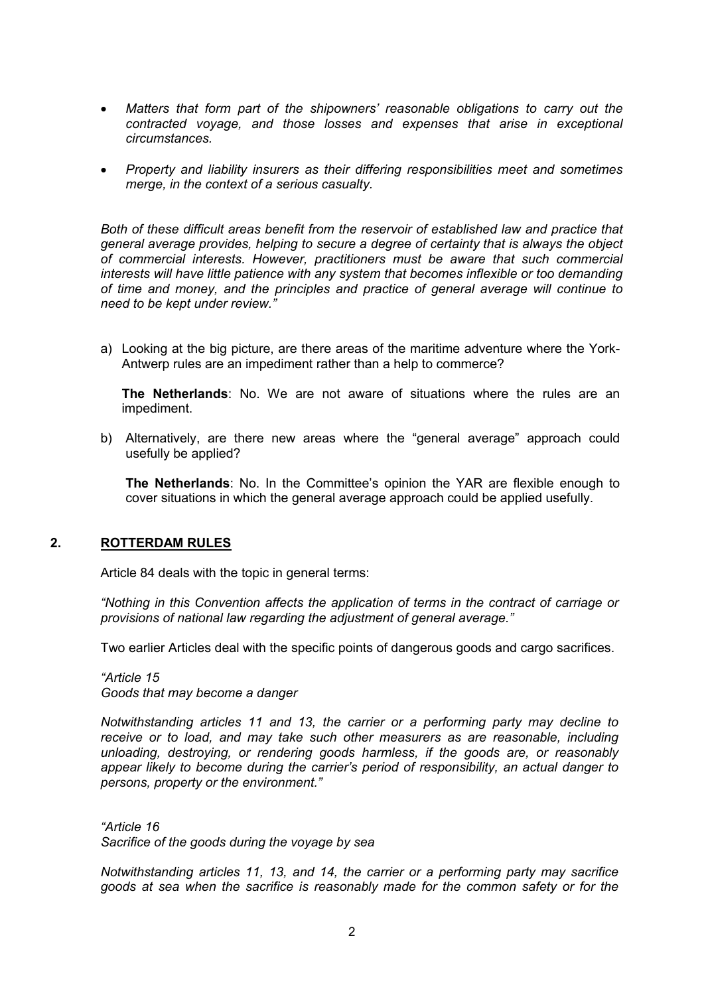- *Matters that form part of the shipowners' reasonable obligations to carry out the contracted voyage, and those losses and expenses that arise in exceptional circumstances.*
- *Property and liability insurers as their differing responsibilities meet and sometimes merge, in the context of a serious casualty.*

*Both of these difficult areas benefit from the reservoir of established law and practice that general average provides, helping to secure a degree of certainty that is always the object of commercial interests. However, practitioners must be aware that such commercial interests will have little patience with any system that becomes inflexible or too demanding of time and money, and the principles and practice of general average will continue to need to be kept under review."*

a) Looking at the big picture, are there areas of the maritime adventure where the York-Antwerp rules are an impediment rather than a help to commerce?

**The Netherlands**: No. We are not aware of situations where the rules are an impediment.

b) Alternatively, are there new areas where the "general average" approach could usefully be applied?

**The Netherlands**: No. In the Committee's opinion the YAR are flexible enough to cover situations in which the general average approach could be applied usefully.

# **2. ROTTERDAM RULES**

Article 84 deals with the topic in general terms:

*"Nothing in this Convention affects the application of terms in the contract of carriage or provisions of national law regarding the adjustment of general average."*

Two earlier Articles deal with the specific points of dangerous goods and cargo sacrifices.

*"Article 15 Goods that may become a danger*

*Notwithstanding articles 11 and 13, the carrier or a performing party may decline to receive or to load, and may take such other measurers as are reasonable, including unloading, destroying, or rendering goods harmless, if the goods are, or reasonably appear likely to become during the carrier's period of responsibility, an actual danger to persons, property or the environment."*

*"Article 16 Sacrifice of the goods during the voyage by sea*

*Notwithstanding articles 11, 13, and 14, the carrier or a performing party may sacrifice goods at sea when the sacrifice is reasonably made for the common safety or for the*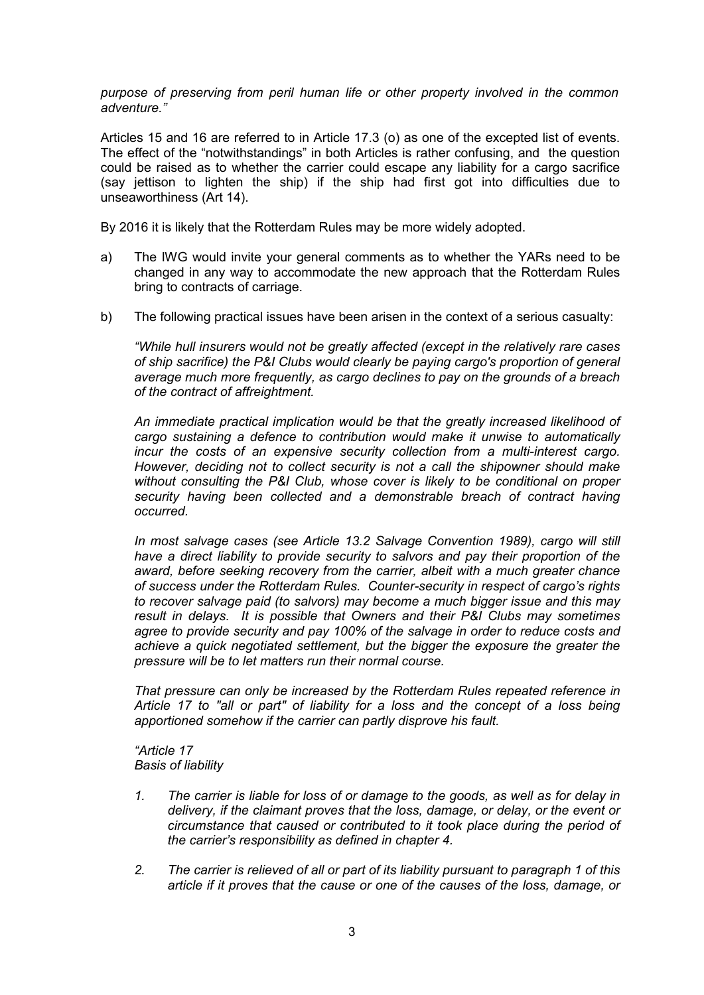*purpose of preserving from peril human life or other property involved in the common adventure."*

Articles 15 and 16 are referred to in Article 17.3 (o) as one of the excepted list of events. The effect of the "notwithstandings" in both Articles is rather confusing, and the question could be raised as to whether the carrier could escape any liability for a cargo sacrifice (say jettison to lighten the ship) if the ship had first got into difficulties due to unseaworthiness (Art 14).

By 2016 it is likely that the Rotterdam Rules may be more widely adopted.

- a) The IWG would invite your general comments as to whether the YARs need to be changed in any way to accommodate the new approach that the Rotterdam Rules bring to contracts of carriage.
- b) The following practical issues have been arisen in the context of a serious casualty:

*"While hull insurers would not be greatly affected (except in the relatively rare cases of ship sacrifice) the P&I Clubs would clearly be paying cargo's proportion of general average much more frequently, as cargo declines to pay on the grounds of a breach of the contract of affreightment.*

*An immediate practical implication would be that the greatly increased likelihood of cargo sustaining a defence to contribution would make it unwise to automatically incur the costs of an expensive security collection from a multi-interest cargo. However, deciding not to collect security is not a call the shipowner should make without consulting the P&I Club, whose cover is likely to be conditional on proper security having been collected and a demonstrable breach of contract having occurred.*

*In most salvage cases (see Article 13.2 Salvage Convention 1989), cargo will still have a direct liability to provide security to salvors and pay their proportion of the award, before seeking recovery from the carrier, albeit with a much greater chance of success under the Rotterdam Rules. Counter-security in respect of cargo's rights to recover salvage paid (to salvors) may become a much bigger issue and this may result in delays. It is possible that Owners and their P&I Clubs may sometimes agree to provide security and pay 100% of the salvage in order to reduce costs and achieve a quick negotiated settlement, but the bigger the exposure the greater the pressure will be to let matters run their normal course.*

*That pressure can only be increased by the Rotterdam Rules repeated reference in Article 17 to "all or part" of liability for a loss and the concept of a loss being apportioned somehow if the carrier can partly disprove his fault.* 

*"Article 17 Basis of liability*

- *1. The carrier is liable for loss of or damage to the goods, as well as for delay in delivery, if the claimant proves that the loss, damage, or delay, or the event or circumstance that caused or contributed to it took place during the period of the carrier's responsibility as defined in chapter 4.*
- *2. The carrier is relieved of all or part of its liability pursuant to paragraph 1 of this article if it proves that the cause or one of the causes of the loss, damage, or*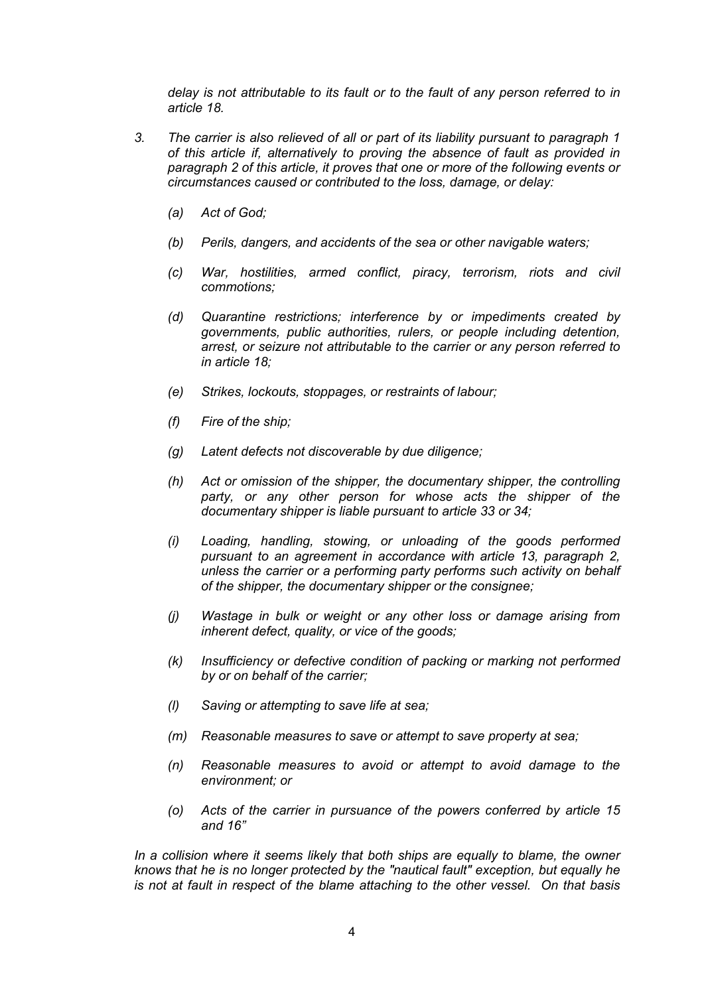*delay is not attributable to its fault or to the fault of any person referred to in article 18.*

- *3. The carrier is also relieved of all or part of its liability pursuant to paragraph 1 of this article if, alternatively to proving the absence of fault as provided in paragraph 2 of this article, it proves that one or more of the following events or circumstances caused or contributed to the loss, damage, or delay:*
	- *(a) Act of God;*
	- *(b) Perils, dangers, and accidents of the sea or other navigable waters;*
	- *(c) War, hostilities, armed conflict, piracy, terrorism, riots and civil commotions;*
	- *(d) Quarantine restrictions; interference by or impediments created by governments, public authorities, rulers, or people including detention, arrest, or seizure not attributable to the carrier or any person referred to in article 18;*
	- *(e) Strikes, lockouts, stoppages, or restraints of labour;*
	- *(f) Fire of the ship;*
	- *(g) Latent defects not discoverable by due diligence;*
	- *(h) Act or omission of the shipper, the documentary shipper, the controlling party, or any other person for whose acts the shipper of the documentary shipper is liable pursuant to article 33 or 34;*
	- *(i) Loading, handling, stowing, or unloading of the goods performed pursuant to an agreement in accordance with article 13, paragraph 2, unless the carrier or a performing party performs such activity on behalf of the shipper, the documentary shipper or the consignee;*
	- *(j) Wastage in bulk or weight or any other loss or damage arising from inherent defect, quality, or vice of the goods;*
	- *(k) Insufficiency or defective condition of packing or marking not performed by or on behalf of the carrier;*
	- *(l) Saving or attempting to save life at sea;*
	- *(m) Reasonable measures to save or attempt to save property at sea;*
	- *(n) Reasonable measures to avoid or attempt to avoid damage to the environment; or*
	- *(o) Acts of the carrier in pursuance of the powers conferred by article 15 and 16"*

*In a collision where it seems likely that both ships are equally to blame, the owner knows that he is no longer protected by the "nautical fault" exception, but equally he is not at fault in respect of the blame attaching to the other vessel. On that basis*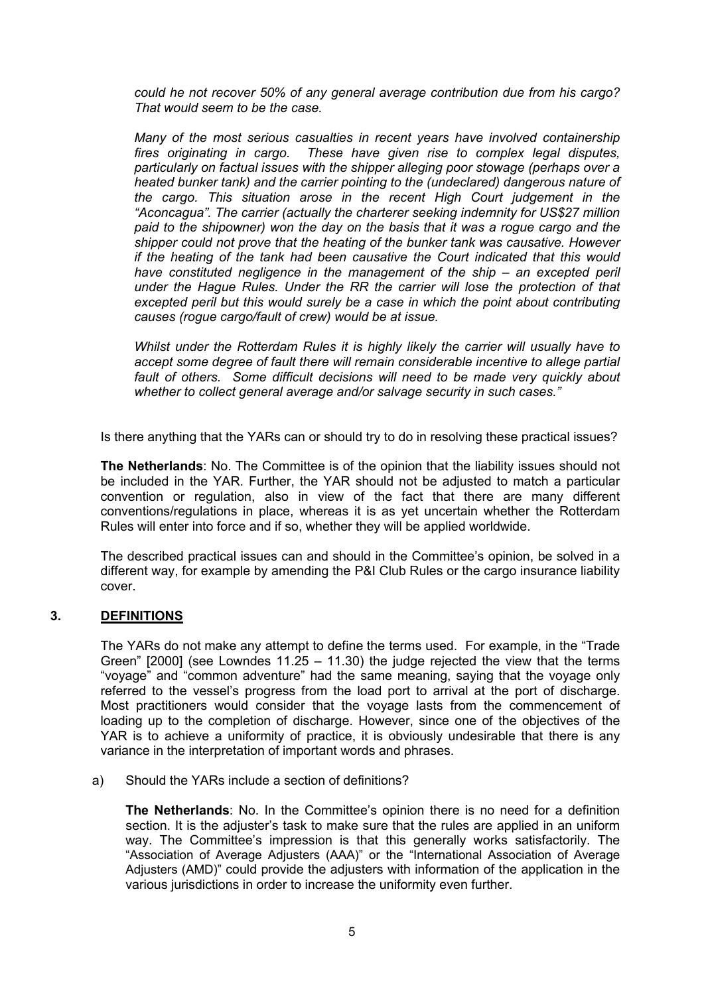*could he not recover 50% of any general average contribution due from his cargo? That would seem to be the case.*

*Many of the most serious casualties in recent years have involved containership fires originating in cargo. These have given rise to complex legal disputes, particularly on factual issues with the shipper alleging poor stowage (perhaps over a heated bunker tank) and the carrier pointing to the (undeclared) dangerous nature of the cargo. This situation arose in the recent High Court judgement in the "Aconcagua". The carrier (actually the charterer seeking indemnity for US\$27 million paid to the shipowner) won the day on the basis that it was a rogue cargo and the shipper could not prove that the heating of the bunker tank was causative. However if the heating of the tank had been causative the Court indicated that this would have constituted negligence in the management of the ship – an excepted peril under the Hague Rules. Under the RR the carrier will lose the protection of that excepted peril but this would surely be a case in which the point about contributing causes (rogue cargo/fault of crew) would be at issue.*

*Whilst under the Rotterdam Rules it is highly likely the carrier will usually have to accept some degree of fault there will remain considerable incentive to allege partial fault of others. Some difficult decisions will need to be made very quickly about whether to collect general average and/or salvage security in such cases."*

Is there anything that the YARs can or should try to do in resolving these practical issues?

**The Netherlands**: No. The Committee is of the opinion that the liability issues should not be included in the YAR. Further, the YAR should not be adjusted to match a particular convention or regulation, also in view of the fact that there are many different conventions/regulations in place, whereas it is as yet uncertain whether the Rotterdam Rules will enter into force and if so, whether they will be applied worldwide.

The described practical issues can and should in the Committee's opinion, be solved in a different way, for example by amending the P&I Club Rules or the cargo insurance liability cover.

# **3. DEFINITIONS**

The YARs do not make any attempt to define the terms used. For example, in the "Trade Green"  $[2000]$  (see Lowndes 11.25 – 11.30) the judge rejected the view that the terms "voyage" and "common adventure" had the same meaning, saying that the voyage only referred to the vessel's progress from the load port to arrival at the port of discharge. Most practitioners would consider that the voyage lasts from the commencement of loading up to the completion of discharge. However, since one of the objectives of the YAR is to achieve a uniformity of practice, it is obviously undesirable that there is any variance in the interpretation of important words and phrases.

a) Should the YARs include a section of definitions?

**The Netherlands**: No. In the Committee's opinion there is no need for a definition section. It is the adjuster's task to make sure that the rules are applied in an uniform way. The Committee's impression is that this generally works satisfactorily. The "Association of Average Adjusters (AAA)" or the "International Association of Average Adjusters (AMD)" could provide the adjusters with information of the application in the various jurisdictions in order to increase the uniformity even further.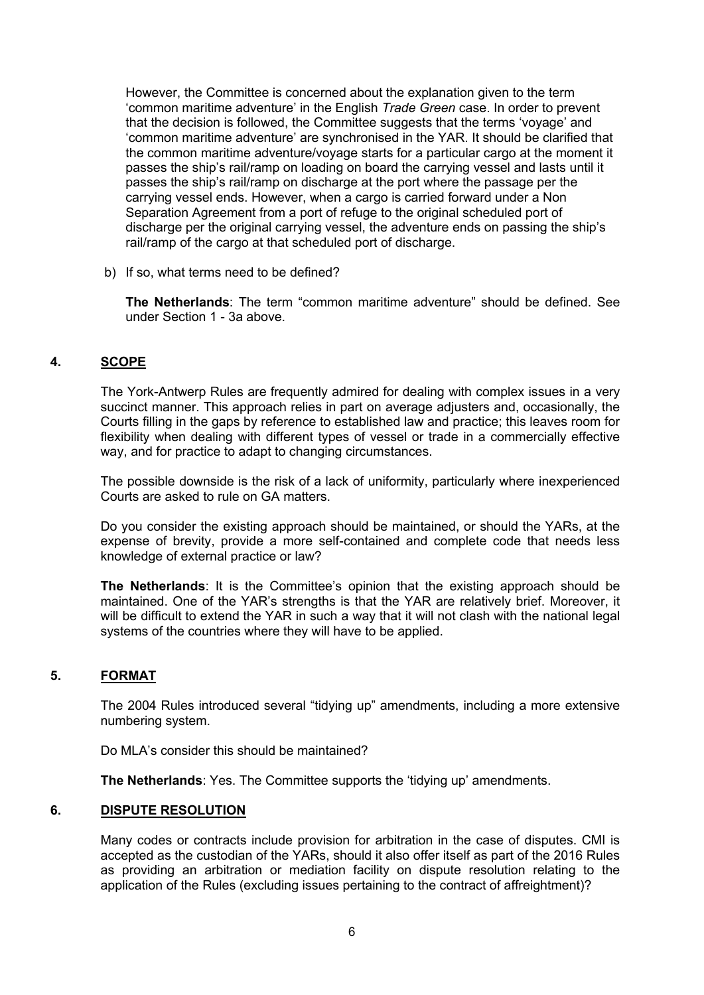However, the Committee is concerned about the explanation given to the term 'common maritime adventure' in the English *Trade Green* case. In order to prevent that the decision is followed, the Committee suggests that the terms 'voyage' and 'common maritime adventure' are synchronised in the YAR. It should be clarified that the common maritime adventure/voyage starts for a particular cargo at the moment it passes the ship's rail/ramp on loading on board the carrying vessel and lasts until it passes the ship's rail/ramp on discharge at the port where the passage per the carrying vessel ends. However, when a cargo is carried forward under a Non Separation Agreement from a port of refuge to the original scheduled port of discharge per the original carrying vessel, the adventure ends on passing the ship's rail/ramp of the cargo at that scheduled port of discharge.

b) If so, what terms need to be defined?

**The Netherlands**: The term "common maritime adventure" should be defined. See under Section 1 - 3a above.

# **4. SCOPE**

The York-Antwerp Rules are frequently admired for dealing with complex issues in a very succinct manner. This approach relies in part on average adjusters and, occasionally, the Courts filling in the gaps by reference to established law and practice; this leaves room for flexibility when dealing with different types of vessel or trade in a commercially effective way, and for practice to adapt to changing circumstances.

The possible downside is the risk of a lack of uniformity, particularly where inexperienced Courts are asked to rule on GA matters.

Do you consider the existing approach should be maintained, or should the YARs, at the expense of brevity, provide a more self-contained and complete code that needs less knowledge of external practice or law?

**The Netherlands**: It is the Committee's opinion that the existing approach should be maintained. One of the YAR's strengths is that the YAR are relatively brief. Moreover, it will be difficult to extend the YAR in such a way that it will not clash with the national legal systems of the countries where they will have to be applied.

# **5. FORMAT**

The 2004 Rules introduced several "tidying up" amendments, including a more extensive numbering system.

Do MLA's consider this should be maintained?

**The Netherlands**: Yes. The Committee supports the 'tidying up' amendments.

# **6. DISPUTE RESOLUTION**

Many codes or contracts include provision for arbitration in the case of disputes. CMI is accepted as the custodian of the YARs, should it also offer itself as part of the 2016 Rules as providing an arbitration or mediation facility on dispute resolution relating to the application of the Rules (excluding issues pertaining to the contract of affreightment)?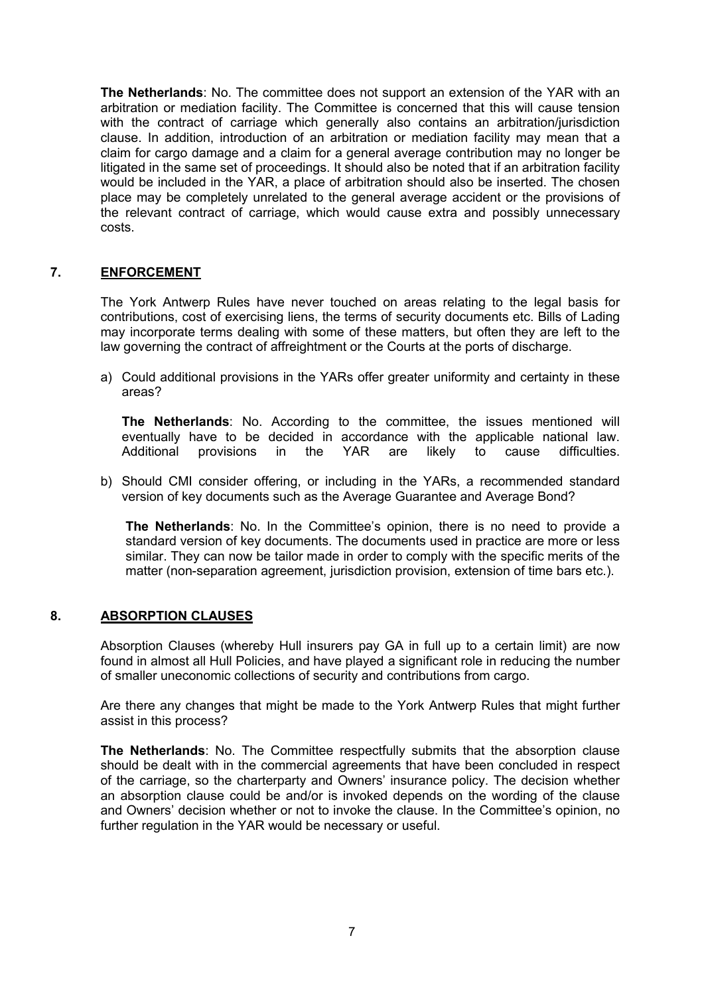**The Netherlands**: No. The committee does not support an extension of the YAR with an arbitration or mediation facility. The Committee is concerned that this will cause tension with the contract of carriage which generally also contains an arbitration/jurisdiction clause. In addition, introduction of an arbitration or mediation facility may mean that a claim for cargo damage and a claim for a general average contribution may no longer be litigated in the same set of proceedings. It should also be noted that if an arbitration facility would be included in the YAR, a place of arbitration should also be inserted. The chosen place may be completely unrelated to the general average accident or the provisions of the relevant contract of carriage, which would cause extra and possibly unnecessary costs.

# **7. ENFORCEMENT**

The York Antwerp Rules have never touched on areas relating to the legal basis for contributions, cost of exercising liens, the terms of security documents etc. Bills of Lading may incorporate terms dealing with some of these matters, but often they are left to the law governing the contract of affreightment or the Courts at the ports of discharge.

a) Could additional provisions in the YARs offer greater uniformity and certainty in these areas?

**The Netherlands**: No. According to the committee, the issues mentioned will eventually have to be decided in accordance with the applicable national law. Additional provisions in the YAR are likely to cause difficulties.

b) Should CMI consider offering, or including in the YARs, a recommended standard version of key documents such as the Average Guarantee and Average Bond?

**The Netherlands**: No. In the Committee's opinion, there is no need to provide a standard version of key documents. The documents used in practice are more or less similar. They can now be tailor made in order to comply with the specific merits of the matter (non-separation agreement, jurisdiction provision, extension of time bars etc.).

# **8. ABSORPTION CLAUSES**

Absorption Clauses (whereby Hull insurers pay GA in full up to a certain limit) are now found in almost all Hull Policies, and have played a significant role in reducing the number of smaller uneconomic collections of security and contributions from cargo.

Are there any changes that might be made to the York Antwerp Rules that might further assist in this process?

**The Netherlands**: No. The Committee respectfully submits that the absorption clause should be dealt with in the commercial agreements that have been concluded in respect of the carriage, so the charterparty and Owners' insurance policy. The decision whether an absorption clause could be and/or is invoked depends on the wording of the clause and Owners' decision whether or not to invoke the clause. In the Committee's opinion, no further regulation in the YAR would be necessary or useful.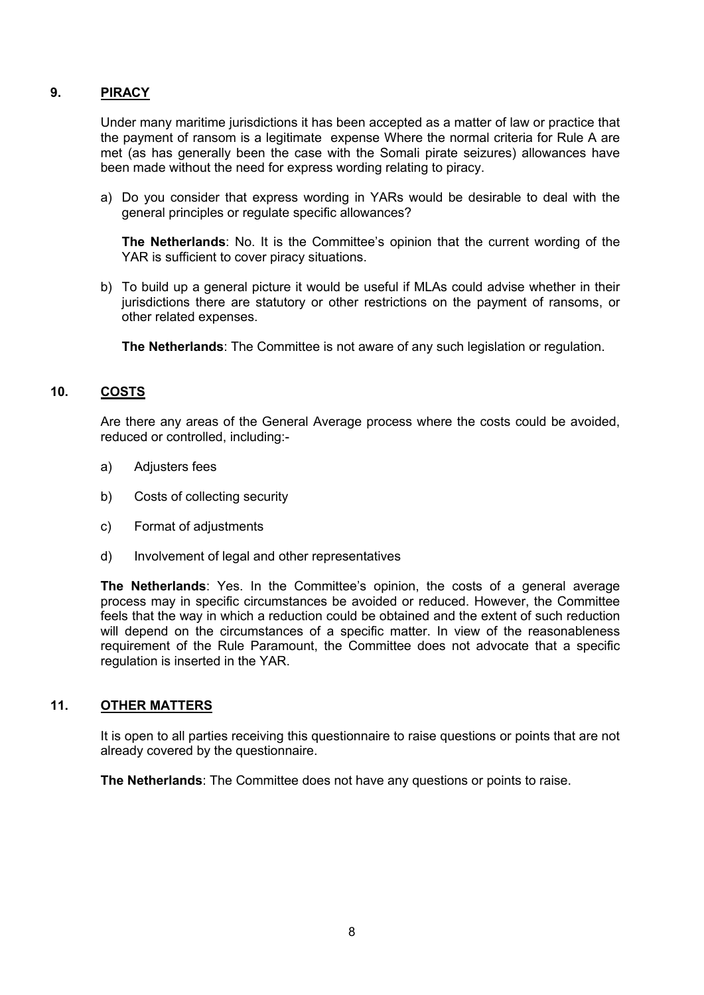# **9. PIRACY**

Under many maritime jurisdictions it has been accepted as a matter of law or practice that the payment of ransom is a legitimate expense Where the normal criteria for Rule A are met (as has generally been the case with the Somali pirate seizures) allowances have been made without the need for express wording relating to piracy.

a) Do you consider that express wording in YARs would be desirable to deal with the general principles or regulate specific allowances?

**The Netherlands**: No. It is the Committee's opinion that the current wording of the YAR is sufficient to cover piracy situations.

b) To build up a general picture it would be useful if MLAs could advise whether in their jurisdictions there are statutory or other restrictions on the payment of ransoms, or other related expenses.

**The Netherlands**: The Committee is not aware of any such legislation or regulation.

# **10. COSTS**

Are there any areas of the General Average process where the costs could be avoided, reduced or controlled, including:-

- a) Adjusters fees
- b) Costs of collecting security
- c) Format of adjustments
- d) Involvement of legal and other representatives

**The Netherlands**: Yes. In the Committee's opinion, the costs of a general average process may in specific circumstances be avoided or reduced. However, the Committee feels that the way in which a reduction could be obtained and the extent of such reduction will depend on the circumstances of a specific matter. In view of the reasonableness requirement of the Rule Paramount, the Committee does not advocate that a specific regulation is inserted in the YAR.

# **11. OTHER MATTERS**

It is open to all parties receiving this questionnaire to raise questions or points that are not already covered by the questionnaire.

**The Netherlands**: The Committee does not have any questions or points to raise.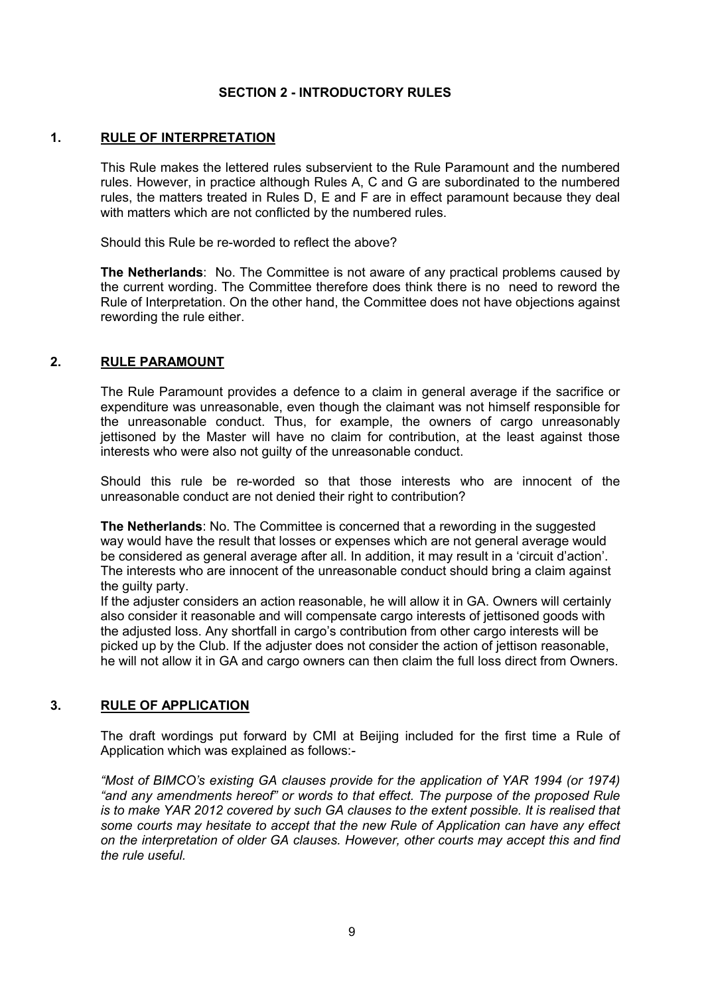# **SECTION 2 - INTRODUCTORY RULES**

### **1. RULE OF INTERPRETATION**

This Rule makes the lettered rules subservient to the Rule Paramount and the numbered rules. However, in practice although Rules A, C and G are subordinated to the numbered rules, the matters treated in Rules D, E and F are in effect paramount because they deal with matters which are not conflicted by the numbered rules.

Should this Rule be re-worded to reflect the above?

**The Netherlands**: No. The Committee is not aware of any practical problems caused by the current wording. The Committee therefore does think there is no need to reword the Rule of Interpretation. On the other hand, the Committee does not have objections against rewording the rule either.

### **2. RULE PARAMOUNT**

The Rule Paramount provides a defence to a claim in general average if the sacrifice or expenditure was unreasonable, even though the claimant was not himself responsible for the unreasonable conduct. Thus, for example, the owners of cargo unreasonably jettisoned by the Master will have no claim for contribution, at the least against those interests who were also not guilty of the unreasonable conduct.

Should this rule be re-worded so that those interests who are innocent of the unreasonable conduct are not denied their right to contribution?

**The Netherlands**: No. The Committee is concerned that a rewording in the suggested way would have the result that losses or expenses which are not general average would be considered as general average after all. In addition, it may result in a 'circuit d'action'. The interests who are innocent of the unreasonable conduct should bring a claim against the guilty party.

If the adjuster considers an action reasonable, he will allow it in GA. Owners will certainly also consider it reasonable and will compensate cargo interests of jettisoned goods with the adjusted loss. Any shortfall in cargo's contribution from other cargo interests will be picked up by the Club. If the adjuster does not consider the action of jettison reasonable, he will not allow it in GA and cargo owners can then claim the full loss direct from Owners.

# **3. RULE OF APPLICATION**

The draft wordings put forward by CMI at Beijing included for the first time a Rule of Application which was explained as follows:-

*"Most of BIMCO's existing GA clauses provide for the application of YAR 1994 (or 1974) "and any amendments hereof" or words to that effect. The purpose of the proposed Rule is to make YAR 2012 covered by such GA clauses to the extent possible. It is realised that some courts may hesitate to accept that the new Rule of Application can have any effect on the interpretation of older GA clauses. However, other courts may accept this and find the rule useful.*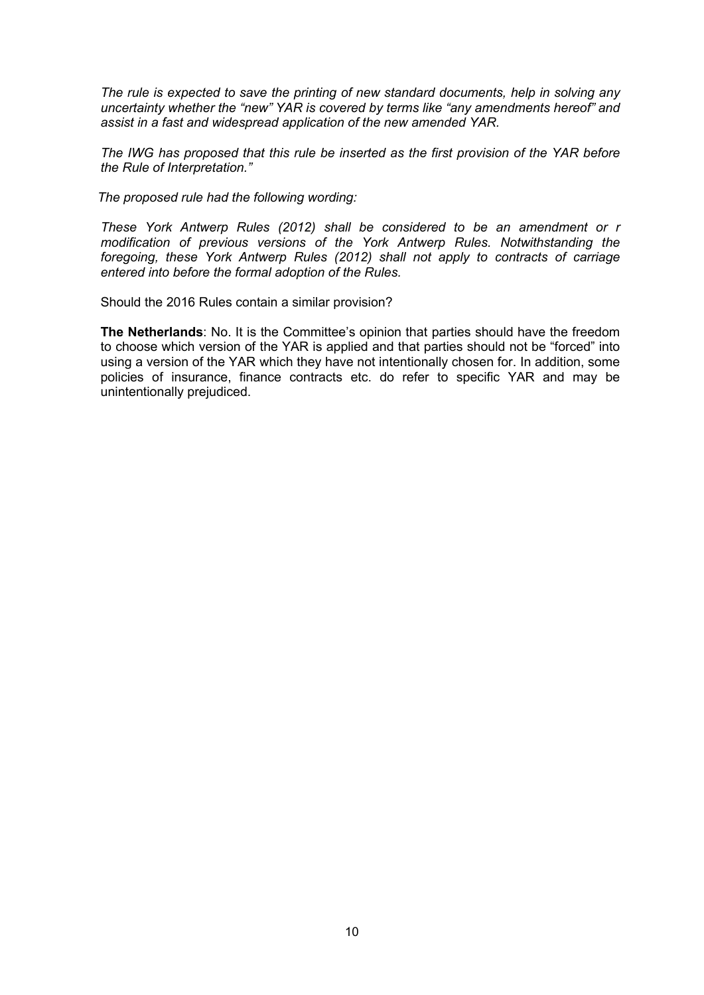*The rule is expected to save the printing of new standard documents, help in solving any uncertainty whether the "new" YAR is covered by terms like "any amendments hereof" and assist in a fast and widespread application of the new amended YAR.*

*The IWG has proposed that this rule be inserted as the first provision of the YAR before the Rule of Interpretation."*

 *The proposed rule had the following wording:*

*These York Antwerp Rules (2012) shall be considered to be an amendment or r modification of previous versions of the York Antwerp Rules. Notwithstanding the foregoing, these York Antwerp Rules (2012) shall not apply to contracts of carriage entered into before the formal adoption of the Rules.*

Should the 2016 Rules contain a similar provision?

**The Netherlands**: No. It is the Committee's opinion that parties should have the freedom to choose which version of the YAR is applied and that parties should not be "forced" into using a version of the YAR which they have not intentionally chosen for. In addition, some policies of insurance, finance contracts etc. do refer to specific YAR and may be unintentionally prejudiced.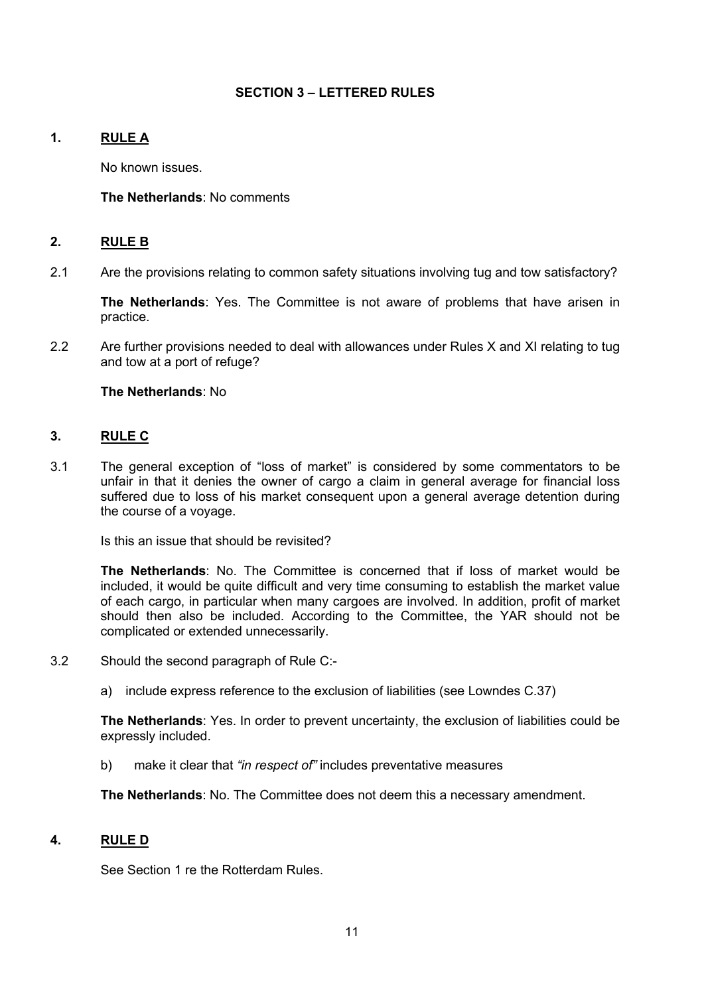# **SECTION 3 – LETTERED RULES**

# **1. RULE A**

No known issues.

### **The Netherlands**: No comments

### **2. RULE B**

2.1 Are the provisions relating to common safety situations involving tug and tow satisfactory?

**The Netherlands**: Yes. The Committee is not aware of problems that have arisen in practice.

2.2 Are further provisions needed to deal with allowances under Rules X and XI relating to tug and tow at a port of refuge?

**The Netherlands**: No

# **3. RULE C**

3.1 The general exception of "loss of market" is considered by some commentators to be unfair in that it denies the owner of cargo a claim in general average for financial loss suffered due to loss of his market consequent upon a general average detention during the course of a voyage.

Is this an issue that should be revisited?

**The Netherlands**: No. The Committee is concerned that if loss of market would be included, it would be quite difficult and very time consuming to establish the market value of each cargo, in particular when many cargoes are involved. In addition, profit of market should then also be included. According to the Committee, the YAR should not be complicated or extended unnecessarily.

- 3.2 Should the second paragraph of Rule C:
	- a) include express reference to the exclusion of liabilities (see Lowndes C.37)

**The Netherlands**: Yes. In order to prevent uncertainty, the exclusion of liabilities could be expressly included.

b) make it clear that *"in respect of"* includes preventative measures

**The Netherlands**: No. The Committee does not deem this a necessary amendment.

#### **4. RULE D**

See Section 1 re the Rotterdam Rules.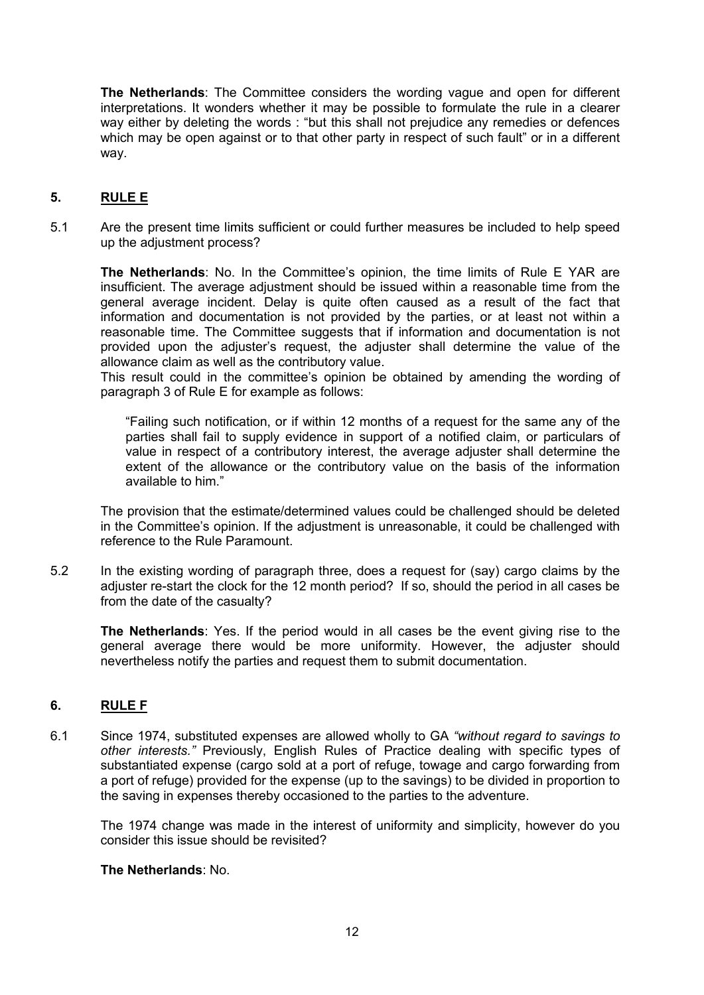**The Netherlands**: The Committee considers the wording vague and open for different interpretations. It wonders whether it may be possible to formulate the rule in a clearer way either by deleting the words : "but this shall not prejudice any remedies or defences which may be open against or to that other party in respect of such fault" or in a different way.

# **5. RULE E**

5.1 Are the present time limits sufficient or could further measures be included to help speed up the adjustment process?

**The Netherlands**: No. In the Committee's opinion, the time limits of Rule E YAR are insufficient. The average adjustment should be issued within a reasonable time from the general average incident. Delay is quite often caused as a result of the fact that information and documentation is not provided by the parties, or at least not within a reasonable time. The Committee suggests that if information and documentation is not provided upon the adjuster's request, the adjuster shall determine the value of the allowance claim as well as the contributory value.

This result could in the committee's opinion be obtained by amending the wording of paragraph 3 of Rule E for example as follows:

"Failing such notification, or if within 12 months of a request for the same any of the parties shall fail to supply evidence in support of a notified claim, or particulars of value in respect of a contributory interest, the average adjuster shall determine the extent of the allowance or the contributory value on the basis of the information available to him."

The provision that the estimate/determined values could be challenged should be deleted in the Committee's opinion. If the adjustment is unreasonable, it could be challenged with reference to the Rule Paramount.

5.2 In the existing wording of paragraph three, does a request for (say) cargo claims by the adjuster re-start the clock for the 12 month period? If so, should the period in all cases be from the date of the casualty?

**The Netherlands**: Yes. If the period would in all cases be the event giving rise to the general average there would be more uniformity. However, the adjuster should nevertheless notify the parties and request them to submit documentation.

# **6. RULE F**

6.1 Since 1974, substituted expenses are allowed wholly to GA *"without regard to savings to other interests."* Previously, English Rules of Practice dealing with specific types of substantiated expense (cargo sold at a port of refuge, towage and cargo forwarding from a port of refuge) provided for the expense (up to the savings) to be divided in proportion to the saving in expenses thereby occasioned to the parties to the adventure.

The 1974 change was made in the interest of uniformity and simplicity, however do you consider this issue should be revisited?

# **The Netherlands**: No.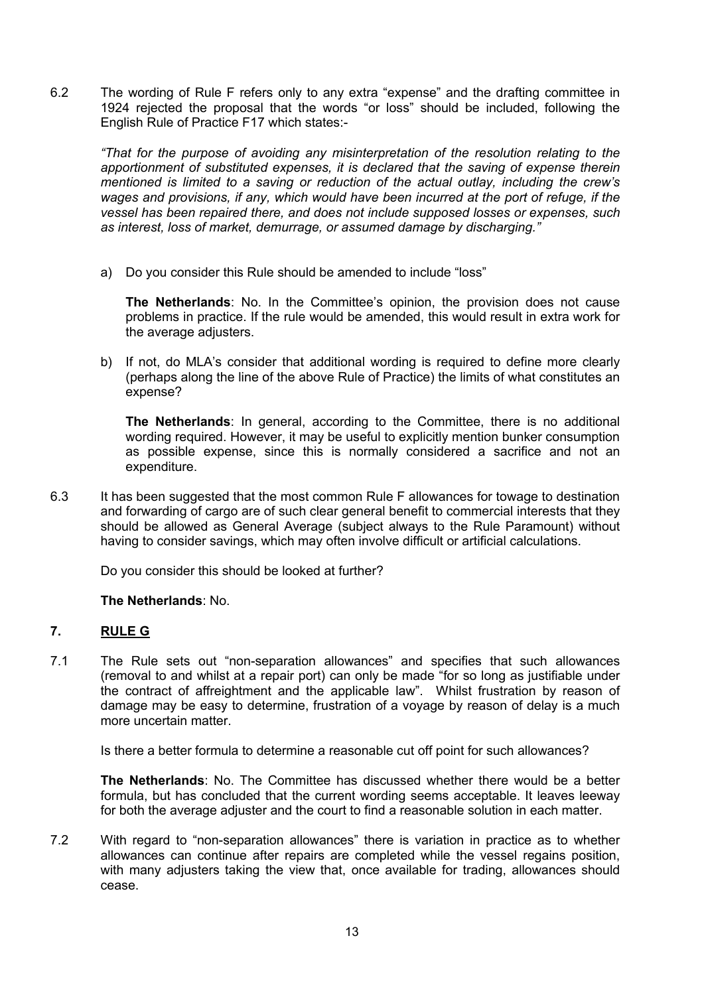6.2 The wording of Rule F refers only to any extra "expense" and the drafting committee in 1924 rejected the proposal that the words "or loss" should be included, following the English Rule of Practice F17 which states:-

*"That for the purpose of avoiding any misinterpretation of the resolution relating to the apportionment of substituted expenses, it is declared that the saving of expense therein mentioned is limited to a saving or reduction of the actual outlay, including the crew's wages and provisions, if any, which would have been incurred at the port of refuge, if the vessel has been repaired there, and does not include supposed losses or expenses, such as interest, loss of market, demurrage, or assumed damage by discharging."*

a) Do you consider this Rule should be amended to include "loss"

**The Netherlands**: No. In the Committee's opinion, the provision does not cause problems in practice. If the rule would be amended, this would result in extra work for the average adjusters.

b) If not, do MLA's consider that additional wording is required to define more clearly (perhaps along the line of the above Rule of Practice) the limits of what constitutes an expense?

**The Netherlands**: In general, according to the Committee, there is no additional wording required. However, it may be useful to explicitly mention bunker consumption as possible expense, since this is normally considered a sacrifice and not an expenditure.

6.3 It has been suggested that the most common Rule F allowances for towage to destination and forwarding of cargo are of such clear general benefit to commercial interests that they should be allowed as General Average (subject always to the Rule Paramount) without having to consider savings, which may often involve difficult or artificial calculations.

Do you consider this should be looked at further?

# **The Netherlands**: No.

# **7. RULE G**

7.1 The Rule sets out "non-separation allowances" and specifies that such allowances (removal to and whilst at a repair port) can only be made "for so long as justifiable under the contract of affreightment and the applicable law". Whilst frustration by reason of damage may be easy to determine, frustration of a voyage by reason of delay is a much more uncertain matter.

Is there a better formula to determine a reasonable cut off point for such allowances?

**The Netherlands**: No. The Committee has discussed whether there would be a better formula, but has concluded that the current wording seems acceptable. It leaves leeway for both the average adjuster and the court to find a reasonable solution in each matter.

7.2 With regard to "non-separation allowances" there is variation in practice as to whether allowances can continue after repairs are completed while the vessel regains position, with many adjusters taking the view that, once available for trading, allowances should cease.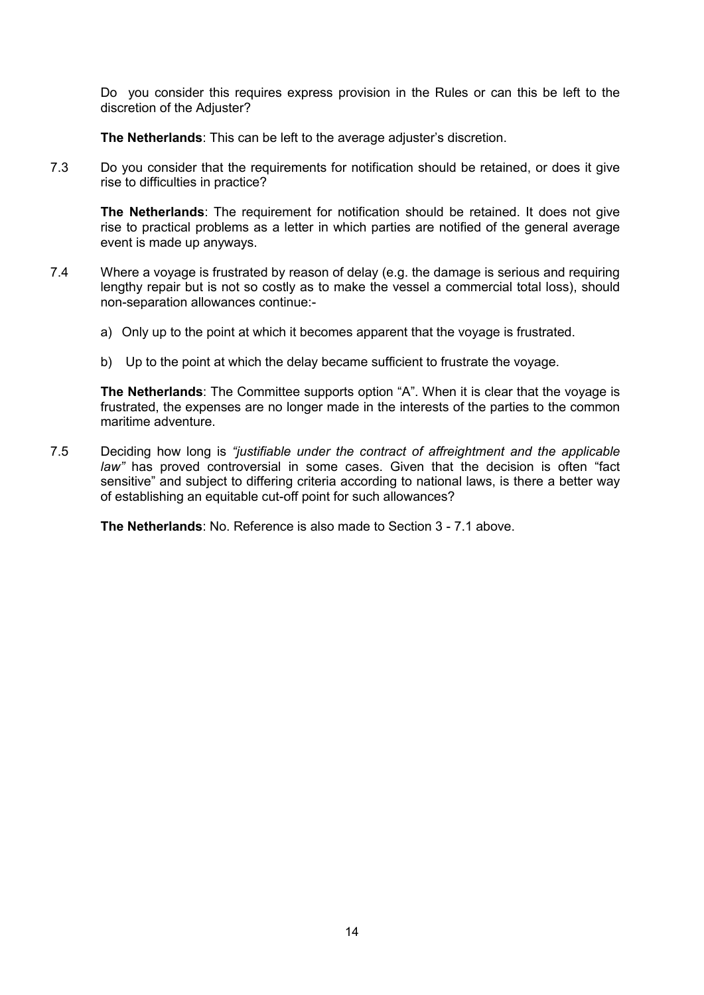Do you consider this requires express provision in the Rules or can this be left to the discretion of the Adjuster?

**The Netherlands**: This can be left to the average adjuster's discretion.

7.3 Do you consider that the requirements for notification should be retained, or does it give rise to difficulties in practice?

**The Netherlands**: The requirement for notification should be retained. It does not give rise to practical problems as a letter in which parties are notified of the general average event is made up anyways.

- 7.4 Where a voyage is frustrated by reason of delay (e.g. the damage is serious and requiring lengthy repair but is not so costly as to make the vessel a commercial total loss), should non-separation allowances continue:
	- a) Only up to the point at which it becomes apparent that the voyage is frustrated.
	- b) Up to the point at which the delay became sufficient to frustrate the voyage.

**The Netherlands**: The Committee supports option "A". When it is clear that the voyage is frustrated, the expenses are no longer made in the interests of the parties to the common maritime adventure.

7.5 Deciding how long is *"justifiable under the contract of affreightment and the applicable law"* has proved controversial in some cases. Given that the decision is often "fact sensitive" and subject to differing criteria according to national laws, is there a better way of establishing an equitable cut-off point for such allowances?

**The Netherlands**: No. Reference is also made to Section 3 - 7.1 above.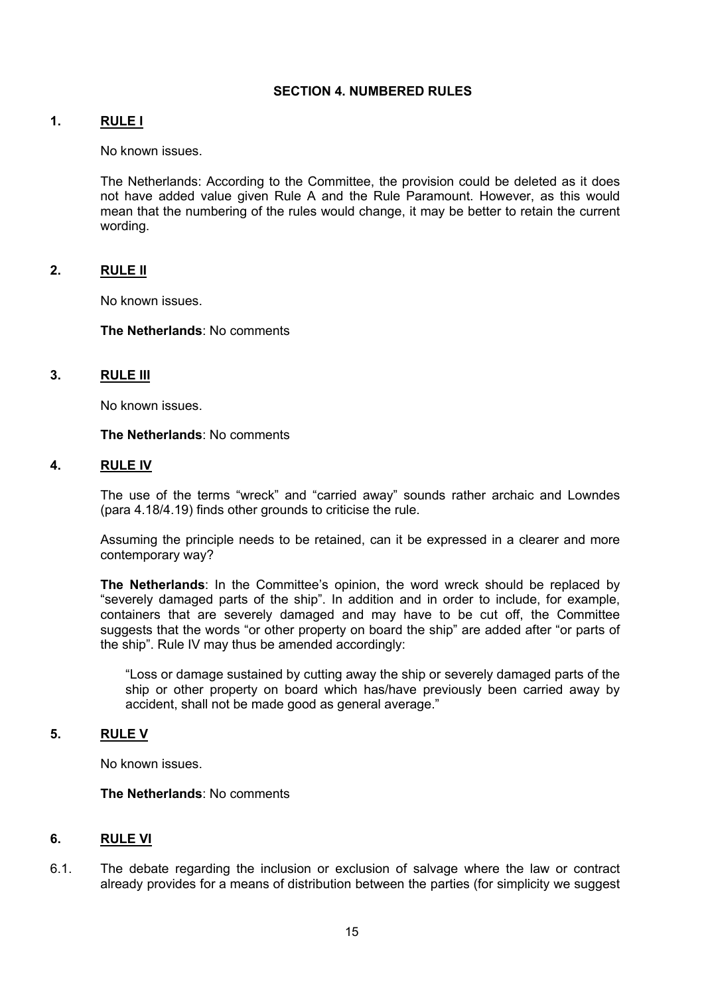# **SECTION 4. NUMBERED RULES**

### **1. RULE I**

No known issues.

The Netherlands: According to the Committee, the provision could be deleted as it does not have added value given Rule A and the Rule Paramount. However, as this would mean that the numbering of the rules would change, it may be better to retain the current wording.

# **2. RULE II**

No known issues.

#### **The Netherlands**: No comments

### **3. RULE III**

No known issues.

#### **The Netherlands**: No comments

#### **4. RULE IV**

The use of the terms "wreck" and "carried away" sounds rather archaic and Lowndes (para 4.18/4.19) finds other grounds to criticise the rule.

Assuming the principle needs to be retained, can it be expressed in a clearer and more contemporary way?

**The Netherlands**: In the Committee's opinion, the word wreck should be replaced by "severely damaged parts of the ship". In addition and in order to include, for example, containers that are severely damaged and may have to be cut off, the Committee suggests that the words "or other property on board the ship" are added after "or parts of the ship". Rule IV may thus be amended accordingly:

"Loss or damage sustained by cutting away the ship or severely damaged parts of the ship or other property on board which has/have previously been carried away by accident, shall not be made good as general average."

#### **5. RULE V**

No known issues.

#### **The Netherlands**: No comments

#### **6. RULE VI**

6.1. The debate regarding the inclusion or exclusion of salvage where the law or contract already provides for a means of distribution between the parties (for simplicity we suggest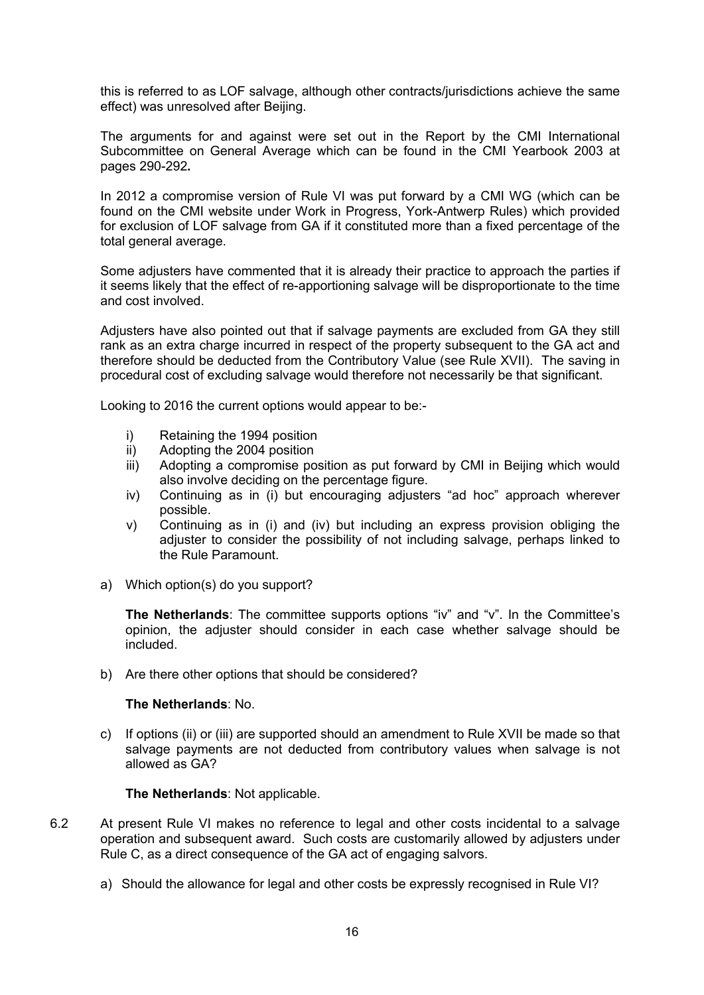this is referred to as LOF salvage, although other contracts/jurisdictions achieve the same effect) was unresolved after Beijing.

The arguments for and against were set out in the Report by the CMI International Subcommittee on General Average which can be found in the CMI Yearbook 2003 at pages 290-292**.**

In 2012 a compromise version of Rule VI was put forward by a CMI WG (which can be found on the CMI website under Work in Progress, York-Antwerp Rules) which provided for exclusion of LOF salvage from GA if it constituted more than a fixed percentage of the total general average.

Some adjusters have commented that it is already their practice to approach the parties if it seems likely that the effect of re-apportioning salvage will be disproportionate to the time and cost involved.

Adjusters have also pointed out that if salvage payments are excluded from GA they still rank as an extra charge incurred in respect of the property subsequent to the GA act and therefore should be deducted from the Contributory Value (see Rule XVII). The saving in procedural cost of excluding salvage would therefore not necessarily be that significant.

Looking to 2016 the current options would appear to be:-

- i) Retaining the 1994 position
- ii) Adopting the 2004 position
- iii) Adopting a compromise position as put forward by CMI in Beijing which would also involve deciding on the percentage figure.
- iv) Continuing as in (i) but encouraging adjusters "ad hoc" approach wherever possible.
- v) Continuing as in (i) and (iv) but including an express provision obliging the adjuster to consider the possibility of not including salvage, perhaps linked to the Rule Paramount.
- a) Which option(s) do you support?

**The Netherlands**: The committee supports options "iv" and "v". In the Committee's opinion, the adjuster should consider in each case whether salvage should be included.

b) Are there other options that should be considered?

### **The Netherlands**: No.

c) If options (ii) or (iii) are supported should an amendment to Rule XVII be made so that salvage payments are not deducted from contributory values when salvage is not allowed as GA?

#### **The Netherlands**: Not applicable.

- 6.2 At present Rule VI makes no reference to legal and other costs incidental to a salvage operation and subsequent award. Such costs are customarily allowed by adjusters under Rule C, as a direct consequence of the GA act of engaging salvors.
	- a) Should the allowance for legal and other costs be expressly recognised in Rule VI?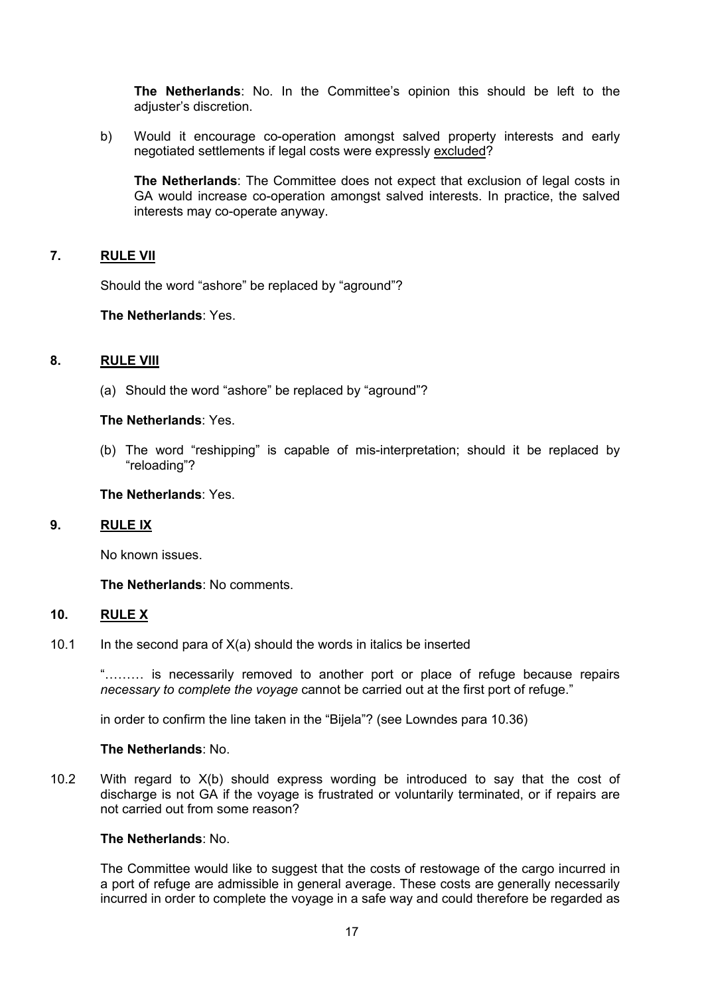**The Netherlands**: No. In the Committee's opinion this should be left to the adiuster's discretion.

b) Would it encourage co-operation amongst salved property interests and early negotiated settlements if legal costs were expressly excluded?

**The Netherlands:** The Committee does not expect that exclusion of legal costs in GA would increase co-operation amongst salved interests. In practice, the salved interests may co-operate anyway.

### **7. RULE VII**

Should the word "ashore" be replaced by "aground"?

**The Netherlands**: Yes.

# **8. RULE VIII**

(a) Should the word "ashore" be replaced by "aground"?

### **The Netherlands**: Yes.

(b) The word "reshipping" is capable of mis-interpretation; should it be replaced by "reloading"?

#### **The Netherlands**: Yes.

#### **9. RULE IX**

No known issues.

**The Netherlands**: No comments.

### **10. RULE X**

10.1 In the second para of  $X(a)$  should the words in italics be inserted

"……… is necessarily removed to another port or place of refuge because repairs *necessary to complete the voyage* cannot be carried out at the first port of refuge."

in order to confirm the line taken in the "Bijela"? (see Lowndes para 10.36)

#### **The Netherlands**: No.

10.2 With regard to X(b) should express wording be introduced to say that the cost of discharge is not GA if the voyage is frustrated or voluntarily terminated, or if repairs are not carried out from some reason?

#### **The Netherlands**: No.

The Committee would like to suggest that the costs of restowage of the cargo incurred in a port of refuge are admissible in general average. These costs are generally necessarily incurred in order to complete the voyage in a safe way and could therefore be regarded as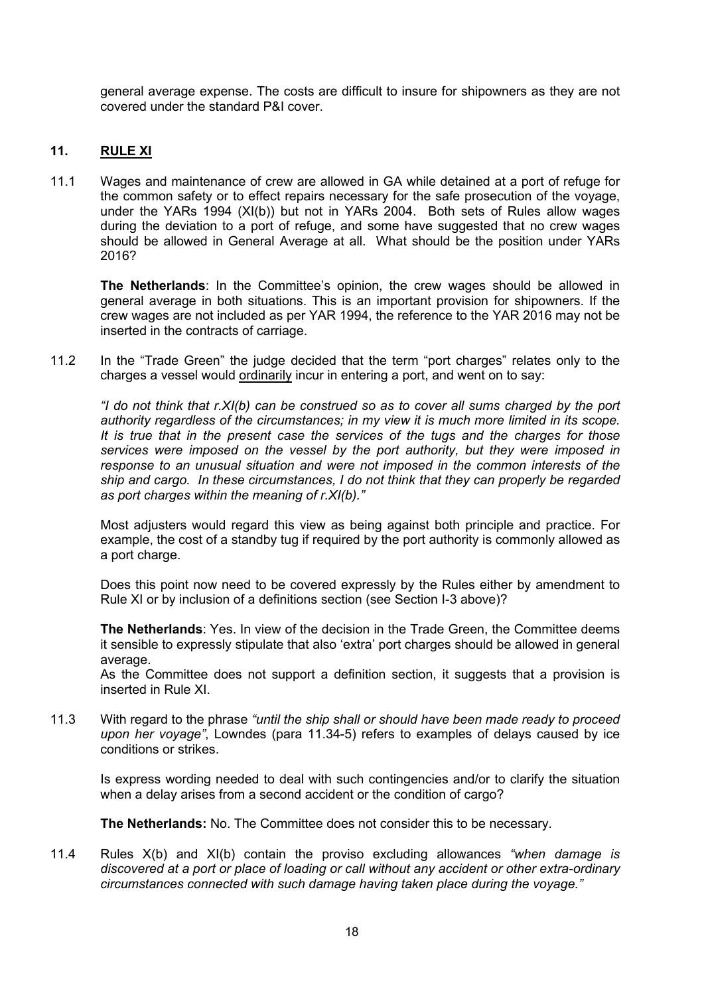general average expense. The costs are difficult to insure for shipowners as they are not covered under the standard P&I cover.

# **11. RULE XI**

11.1 Wages and maintenance of crew are allowed in GA while detained at a port of refuge for the common safety or to effect repairs necessary for the safe prosecution of the voyage, under the YARs 1994 (XI(b)) but not in YARs 2004. Both sets of Rules allow wages during the deviation to a port of refuge, and some have suggested that no crew wages should be allowed in General Average at all. What should be the position under YARs 2016?

**The Netherlands**: In the Committee's opinion, the crew wages should be allowed in general average in both situations. This is an important provision for shipowners. If the crew wages are not included as per YAR 1994, the reference to the YAR 2016 may not be inserted in the contracts of carriage.

11.2 In the "Trade Green" the judge decided that the term "port charges" relates only to the charges a vessel would ordinarily incur in entering a port, and went on to say:

*"I do not think that r.XI(b) can be construed so as to cover all sums charged by the port authority regardless of the circumstances; in my view it is much more limited in its scope. It is true that in the present case the services of the tugs and the charges for those services were imposed on the vessel by the port authority, but they were imposed in response to an unusual situation and were not imposed in the common interests of the ship and cargo. In these circumstances, I do not think that they can properly be regarded as port charges within the meaning of r.XI(b)."*

Most adjusters would regard this view as being against both principle and practice. For example, the cost of a standby tug if required by the port authority is commonly allowed as a port charge.

Does this point now need to be covered expressly by the Rules either by amendment to Rule XI or by inclusion of a definitions section (see Section I-3 above)?

**The Netherlands**: Yes. In view of the decision in the Trade Green, the Committee deems it sensible to expressly stipulate that also 'extra' port charges should be allowed in general average.

As the Committee does not support a definition section, it suggests that a provision is inserted in Rule XI.

11.3 With regard to the phrase *"until the ship shall or should have been made ready to proceed upon her voyage"*, Lowndes (para 11.34-5) refers to examples of delays caused by ice conditions or strikes.

Is express wording needed to deal with such contingencies and/or to clarify the situation when a delay arises from a second accident or the condition of cargo?

**The Netherlands:** No. The Committee does not consider this to be necessary.

11.4 Rules X(b) and XI(b) contain the proviso excluding allowances *"when damage is discovered at a port or place of loading or call without any accident or other extra-ordinary circumstances connected with such damage having taken place during the voyage."*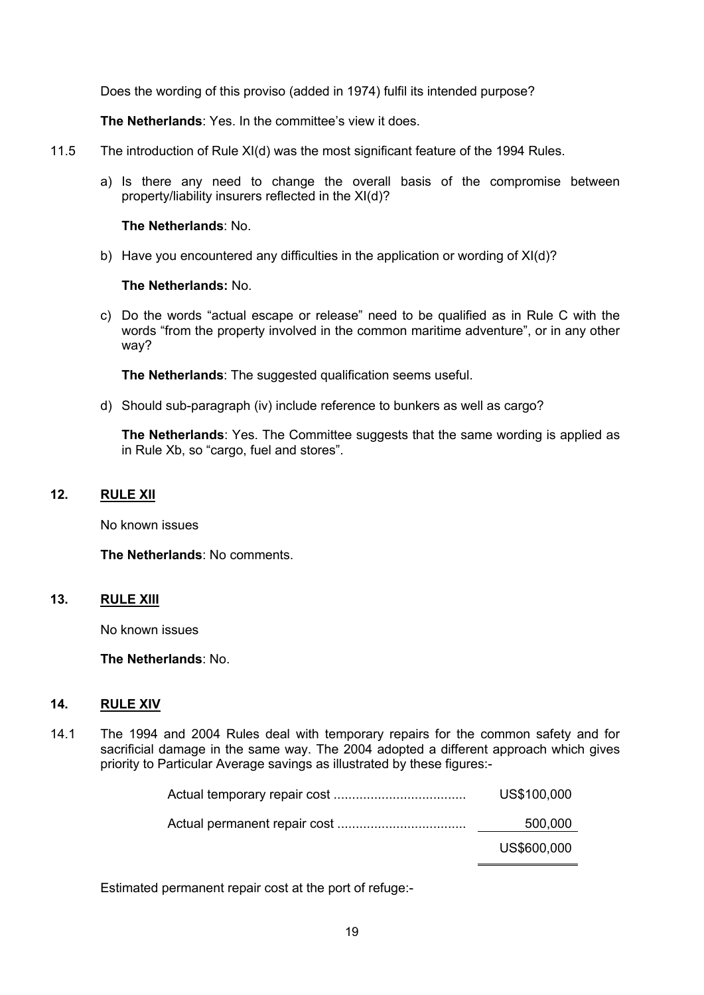Does the wording of this proviso (added in 1974) fulfil its intended purpose?

**The Netherlands**: Yes. In the committee's view it does.

- 11.5 The introduction of Rule XI(d) was the most significant feature of the 1994 Rules.
	- a) Is there any need to change the overall basis of the compromise between property/liability insurers reflected in the XI(d)?

### **The Netherlands**: No.

b) Have you encountered any difficulties in the application or wording of XI(d)?

### **The Netherlands:** No.

c) Do the words "actual escape or release" need to be qualified as in Rule C with the words "from the property involved in the common maritime adventure", or in any other way?

**The Netherlands**: The suggested qualification seems useful.

d) Should sub-paragraph (iv) include reference to bunkers as well as cargo?

**The Netherlands:** Yes. The Committee suggests that the same wording is applied as in Rule Xb, so "cargo, fuel and stores".

### **12. RULE XII**

No known issues

**The Netherlands**: No comments.

### **13. RULE XIII**

No known issues

**The Netherlands**: No.

# **14. RULE XIV**

14.1 The 1994 and 2004 Rules deal with temporary repairs for the common safety and for sacrificial damage in the same way. The 2004 adopted a different approach which gives priority to Particular Average savings as illustrated by these figures:-

| US\$600,000 |
|-------------|
| 500,000     |
| US\$100,000 |

Estimated permanent repair cost at the port of refuge:-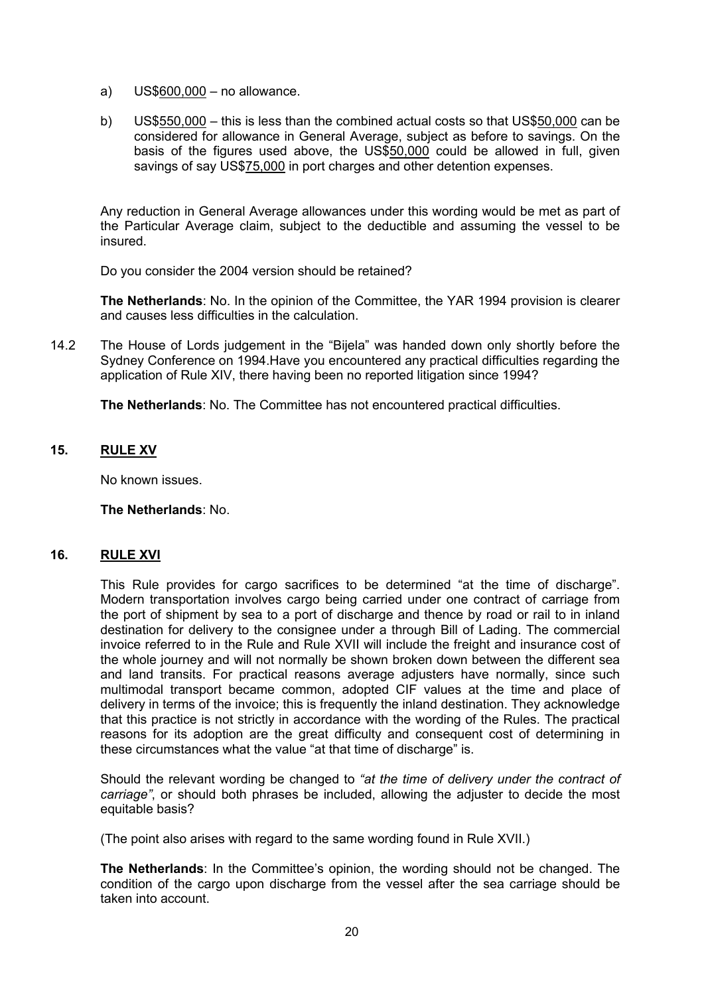- a) US\$600,000 no allowance.
- b) US\$550,000 this is less than the combined actual costs so that US\$50,000 can be considered for allowance in General Average, subject as before to savings. On the basis of the figures used above, the US\$50,000 could be allowed in full, given savings of say US\$75,000 in port charges and other detention expenses.

Any reduction in General Average allowances under this wording would be met as part of the Particular Average claim, subject to the deductible and assuming the vessel to be insured.

Do you consider the 2004 version should be retained?

**The Netherlands**: No. In the opinion of the Committee, the YAR 1994 provision is clearer and causes less difficulties in the calculation.

14.2 The House of Lords judgement in the "Bijela" was handed down only shortly before the Sydney Conference on 1994.Have you encountered any practical difficulties regarding the application of Rule XIV, there having been no reported litigation since 1994?

**The Netherlands**: No. The Committee has not encountered practical difficulties.

# **15. RULE XV**

No known issues.

**The Netherlands**: No.

# **16. RULE XVI**

This Rule provides for cargo sacrifices to be determined "at the time of discharge". Modern transportation involves cargo being carried under one contract of carriage from the port of shipment by sea to a port of discharge and thence by road or rail to in inland destination for delivery to the consignee under a through Bill of Lading. The commercial invoice referred to in the Rule and Rule XVII will include the freight and insurance cost of the whole journey and will not normally be shown broken down between the different sea and land transits. For practical reasons average adjusters have normally, since such multimodal transport became common, adopted CIF values at the time and place of delivery in terms of the invoice; this is frequently the inland destination. They acknowledge that this practice is not strictly in accordance with the wording of the Rules. The practical reasons for its adoption are the great difficulty and consequent cost of determining in these circumstances what the value "at that time of discharge" is.

Should the relevant wording be changed to *"at the time of delivery under the contract of carriage"*, or should both phrases be included, allowing the adjuster to decide the most equitable basis?

(The point also arises with regard to the same wording found in Rule XVII.)

**The Netherlands**: In the Committee's opinion, the wording should not be changed. The condition of the cargo upon discharge from the vessel after the sea carriage should be taken into account.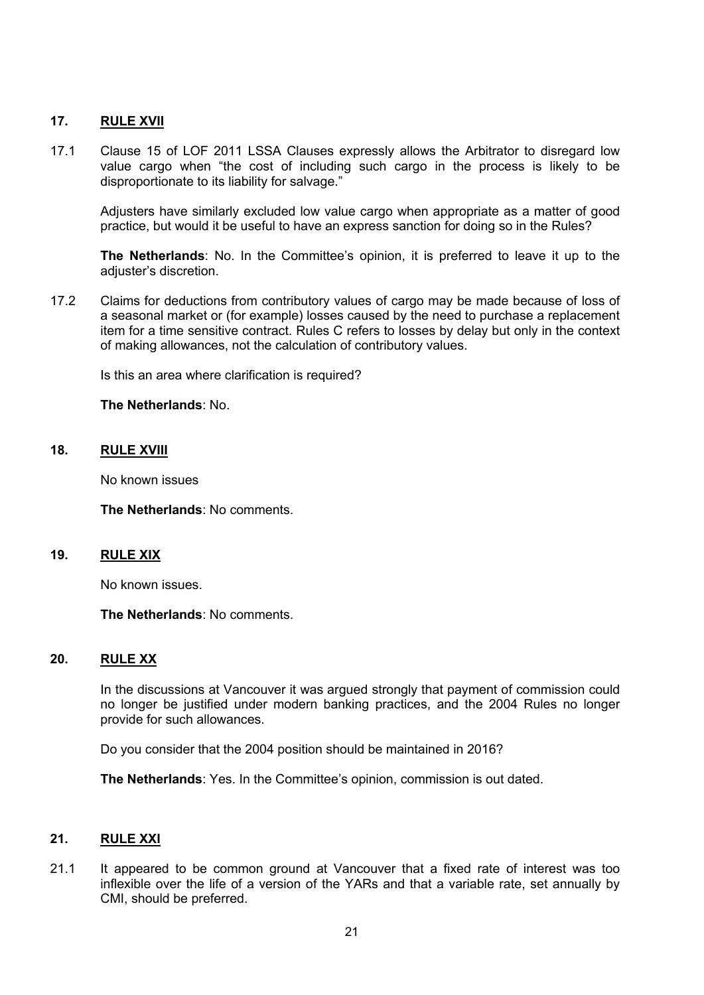### **17. RULE XVII**

17.1 Clause 15 of LOF 2011 LSSA Clauses expressly allows the Arbitrator to disregard low value cargo when "the cost of including such cargo in the process is likely to be disproportionate to its liability for salvage."

Adjusters have similarly excluded low value cargo when appropriate as a matter of good practice, but would it be useful to have an express sanction for doing so in the Rules?

**The Netherlands**: No. In the Committee's opinion, it is preferred to leave it up to the adjuster's discretion.

17.2 Claims for deductions from contributory values of cargo may be made because of loss of a seasonal market or (for example) losses caused by the need to purchase a replacement item for a time sensitive contract. Rules C refers to losses by delay but only in the context of making allowances, not the calculation of contributory values.

Is this an area where clarification is required?

#### **The Netherlands**: No.

### **18. RULE XVIII**

No known issues

**The Netherlands**: No comments.

#### **19. RULE XIX**

No known issues.

**The Netherlands**: No comments.

### **20. RULE XX**

In the discussions at Vancouver it was argued strongly that payment of commission could no longer be justified under modern banking practices, and the 2004 Rules no longer provide for such allowances.

Do you consider that the 2004 position should be maintained in 2016?

**The Netherlands**: Yes. In the Committee's opinion, commission is out dated.

#### **21. RULE XXI**

21.1 It appeared to be common ground at Vancouver that a fixed rate of interest was too inflexible over the life of a version of the YARs and that a variable rate, set annually by CMI, should be preferred.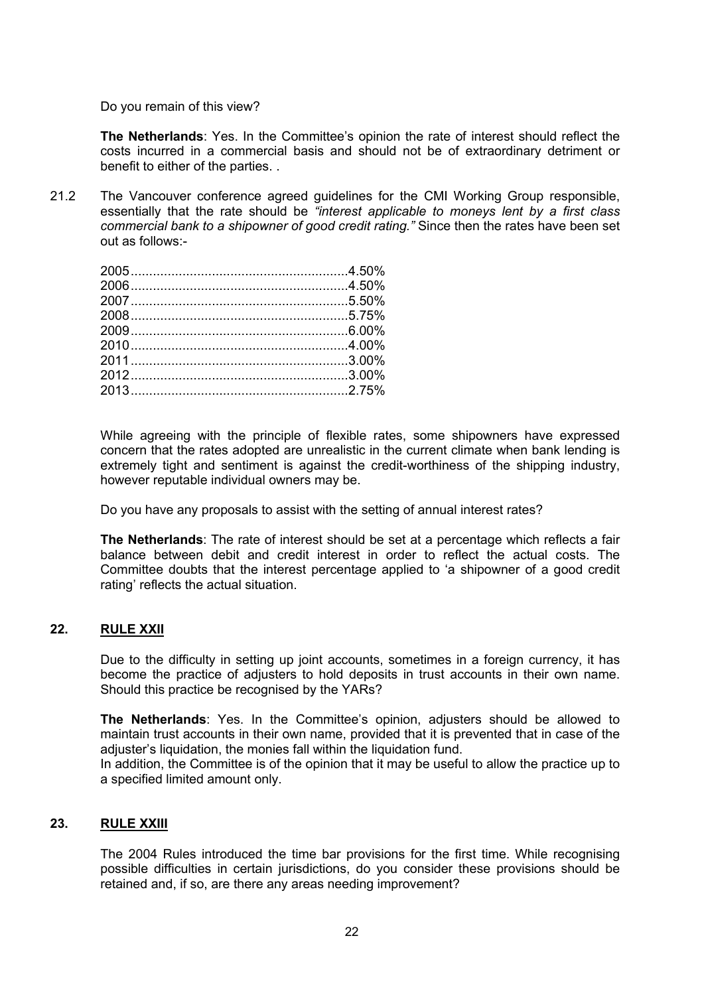Do you remain of this view?

**The Netherlands**: Yes. In the Committee's opinion the rate of interest should reflect the costs incurred in a commercial basis and should not be of extraordinary detriment or benefit to either of the parties. .

21.2 The Vancouver conference agreed guidelines for the CMI Working Group responsible, essentially that the rate should be *"interest applicable to moneys lent by a first class commercial bank to a shipowner of good credit rating."* Since then the rates have been set out as follows:-

While agreeing with the principle of flexible rates, some shipowners have expressed concern that the rates adopted are unrealistic in the current climate when bank lending is extremely tight and sentiment is against the credit-worthiness of the shipping industry, however reputable individual owners may be.

Do you have any proposals to assist with the setting of annual interest rates?

**The Netherlands**: The rate of interest should be set at a percentage which reflects a fair balance between debit and credit interest in order to reflect the actual costs. The Committee doubts that the interest percentage applied to 'a shipowner of a good credit rating' reflects the actual situation.

# **22. RULE XXII**

Due to the difficulty in setting up joint accounts, sometimes in a foreign currency, it has become the practice of adjusters to hold deposits in trust accounts in their own name. Should this practice be recognised by the YARs?

**The Netherlands**: Yes. In the Committee's opinion, adjusters should be allowed to maintain trust accounts in their own name, provided that it is prevented that in case of the adjuster's liquidation, the monies fall within the liquidation fund.

In addition, the Committee is of the opinion that it may be useful to allow the practice up to a specified limited amount only.

# **23. RULE XXIII**

The 2004 Rules introduced the time bar provisions for the first time. While recognising possible difficulties in certain jurisdictions, do you consider these provisions should be retained and, if so, are there any areas needing improvement?